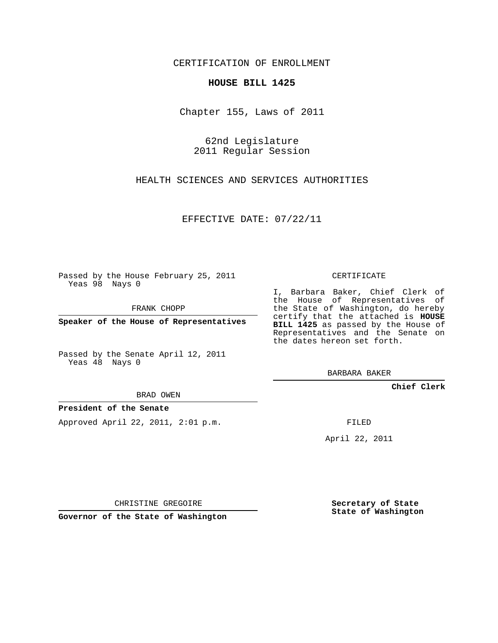CERTIFICATION OF ENROLLMENT

## **HOUSE BILL 1425**

Chapter 155, Laws of 2011

62nd Legislature 2011 Regular Session

HEALTH SCIENCES AND SERVICES AUTHORITIES

EFFECTIVE DATE: 07/22/11

Passed by the House February 25, 2011 Yeas 98 Nays 0

FRANK CHOPP

**Speaker of the House of Representatives**

Passed by the Senate April 12, 2011 Yeas 48 Nays 0

BRAD OWEN

**President of the Senate**

Approved April 22, 2011, 2:01 p.m.

CERTIFICATE

I, Barbara Baker, Chief Clerk of the House of Representatives of the State of Washington, do hereby certify that the attached is **HOUSE BILL 1425** as passed by the House of Representatives and the Senate on the dates hereon set forth.

BARBARA BAKER

**Chief Clerk**

FILED

April 22, 2011

CHRISTINE GREGOIRE

**Governor of the State of Washington**

**Secretary of State State of Washington**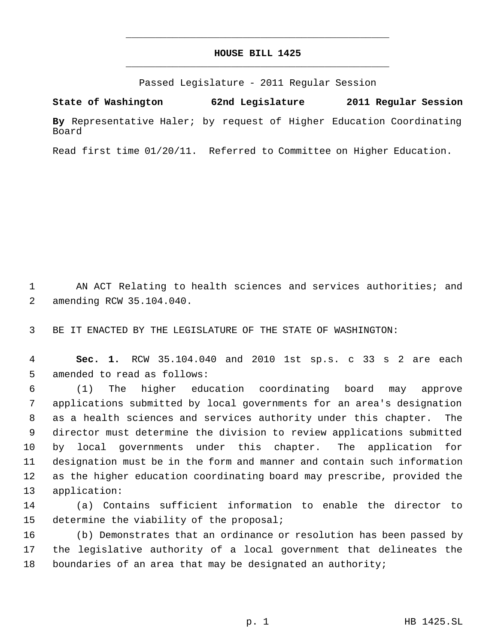## **HOUSE BILL 1425** \_\_\_\_\_\_\_\_\_\_\_\_\_\_\_\_\_\_\_\_\_\_\_\_\_\_\_\_\_\_\_\_\_\_\_\_\_\_\_\_\_\_\_\_\_

\_\_\_\_\_\_\_\_\_\_\_\_\_\_\_\_\_\_\_\_\_\_\_\_\_\_\_\_\_\_\_\_\_\_\_\_\_\_\_\_\_\_\_\_\_

Passed Legislature - 2011 Regular Session

**State of Washington 62nd Legislature 2011 Regular Session**

**By** Representative Haler; by request of Higher Education Coordinating Board

Read first time 01/20/11. Referred to Committee on Higher Education.

1 AN ACT Relating to health sciences and services authorities; and 2 amending RCW 35.104.040.

3 BE IT ENACTED BY THE LEGISLATURE OF THE STATE OF WASHINGTON:

 4 **Sec. 1.** RCW 35.104.040 and 2010 1st sp.s. c 33 s 2 are each 5 amended to read as follows:

 (1) The higher education coordinating board may approve applications submitted by local governments for an area's designation as a health sciences and services authority under this chapter. The director must determine the division to review applications submitted by local governments under this chapter. The application for designation must be in the form and manner and contain such information as the higher education coordinating board may prescribe, provided the application:

14 (a) Contains sufficient information to enable the director to 15 determine the viability of the proposal;

16 (b) Demonstrates that an ordinance or resolution has been passed by 17 the legislative authority of a local government that delineates the 18 boundaries of an area that may be designated an authority;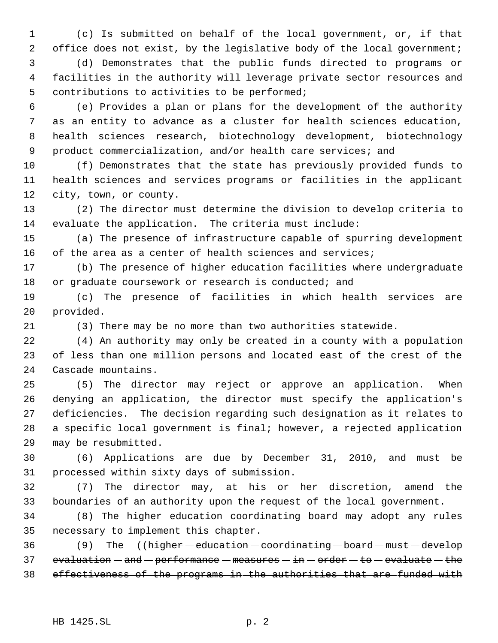(c) Is submitted on behalf of the local government, or, if that 2 office does not exist, by the legislative body of the local government; (d) Demonstrates that the public funds directed to programs or facilities in the authority will leverage private sector resources and contributions to activities to be performed;

 (e) Provides a plan or plans for the development of the authority as an entity to advance as a cluster for health sciences education, health sciences research, biotechnology development, biotechnology 9 product commercialization, and/or health care services; and

 (f) Demonstrates that the state has previously provided funds to health sciences and services programs or facilities in the applicant city, town, or county.

 (2) The director must determine the division to develop criteria to evaluate the application. The criteria must include:

 (a) The presence of infrastructure capable of spurring development of the area as a center of health sciences and services;

 (b) The presence of higher education facilities where undergraduate 18 or graduate coursework or research is conducted; and

 (c) The presence of facilities in which health services are provided.

(3) There may be no more than two authorities statewide.

 (4) An authority may only be created in a county with a population of less than one million persons and located east of the crest of the Cascade mountains.

 (5) The director may reject or approve an application. When denying an application, the director must specify the application's deficiencies. The decision regarding such designation as it relates to a specific local government is final; however, a rejected application may be resubmitted.

 (6) Applications are due by December 31, 2010, and must be processed within sixty days of submission.

 (7) The director may, at his or her discretion, amend the boundaries of an authority upon the request of the local government.

 (8) The higher education coordinating board may adopt any rules necessary to implement this chapter.

36 (9) The ((higher - education - coordinating - board - must - develop 37 evaluation  $-$  and  $-$  performance  $-$  measures  $-$  in  $-$  order  $-$  to  $-$  evaluate  $-$  the 38 effectiveness of the programs in the authorities that are funded with